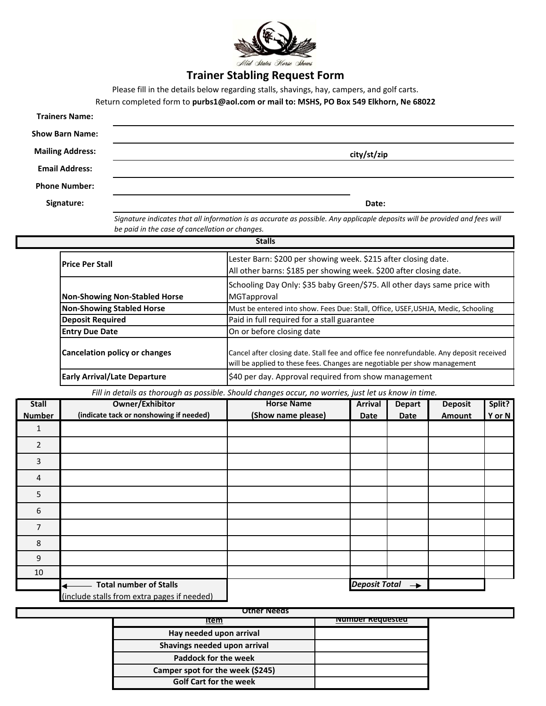

## **Trainer Stabling Request Form**

Please fill in the details below regarding stalls, shavings, hay, campers, and golf carts.

Return completed form to **purbs1@aol.com or mail to: MSHS, PO Box 549 Elkhorn, Ne 68022**

| <b>Trainers Name:</b>   |             |
|-------------------------|-------------|
| <b>Show Barn Name:</b>  |             |
| <b>Mailing Address:</b> | city/st/zip |
| <b>Email Address:</b>   |             |
| <b>Phone Number:</b>    |             |
| Signature:              | Date:       |

*Signature indicates that all information is as accurate as possible. Any applicaple deposits will be provided and fees will be paid in the case of cancellation or changes.*

| <b>Stalls</b>                        |                                                                                                                                                                      |  |  |  |  |
|--------------------------------------|----------------------------------------------------------------------------------------------------------------------------------------------------------------------|--|--|--|--|
| <b>IPrice Per Stall</b>              | Lester Barn: \$200 per showing week. \$215 after closing date.<br>All other barns: \$185 per showing week. \$200 after closing date.                                 |  |  |  |  |
| <b>Non-Showing Non-Stabled Horse</b> | Schooling Day Only: \$35 baby Green/\$75. All other days same price with<br>MGTapproval                                                                              |  |  |  |  |
| <b>Non-Showing Stabled Horse</b>     | Must be entered into show. Fees Due: Stall, Office, USEF, USHJA, Medic, Schooling                                                                                    |  |  |  |  |
| <b>Deposit Required</b>              | Paid in full required for a stall guarantee                                                                                                                          |  |  |  |  |
| <b>Entry Due Date</b>                | On or before closing date                                                                                                                                            |  |  |  |  |
| <b>Cancelation policy or changes</b> | Cancel after closing date. Stall fee and office fee nonrefundable. Any deposit received<br>will be applied to these fees. Changes are negotiable per show management |  |  |  |  |
| <b>Early Arrival/Late Departure</b>  | \$40 per day. Approval required from show management                                                                                                                 |  |  |  |  |

*Fill in details as thorough as possible. Should changes occur, no worries, just let us know in time.*

| <b>Stall</b>   | <b>Owner/Exhibitor</b>                      | <b>Horse Name</b>  | <b>Arrival</b>                        | <b>Depart</b> | <b>Deposit</b> | Split? |
|----------------|---------------------------------------------|--------------------|---------------------------------------|---------------|----------------|--------|
| <b>Number</b>  | (indicate tack or nonshowing if needed)     | (Show name please) | Date                                  | <b>Date</b>   | Amount         | Y or N |
| 1              |                                             |                    |                                       |               |                |        |
| $\overline{2}$ |                                             |                    |                                       |               |                |        |
| 3              |                                             |                    |                                       |               |                |        |
| 4              |                                             |                    |                                       |               |                |        |
| 5              |                                             |                    |                                       |               |                |        |
| 6              |                                             |                    |                                       |               |                |        |
| 7              |                                             |                    |                                       |               |                |        |
| 8              |                                             |                    |                                       |               |                |        |
| 9              |                                             |                    |                                       |               |                |        |
| 10             |                                             |                    |                                       |               |                |        |
|                | <b>Total number of Stalls</b><br>◀          |                    | <b>Deposit Total</b><br>$\rightarrow$ |               |                |        |
|                | (include stalls from extra pages if needed) |                    |                                       |               |                |        |

| Other Needs                      |                          |  |  |  |  |
|----------------------------------|--------------------------|--|--|--|--|
| ιτem                             | <u>ivumper Requested</u> |  |  |  |  |
| Hay needed upon arrival          |                          |  |  |  |  |
| Shavings needed upon arrival     |                          |  |  |  |  |
| <b>Paddock for the week</b>      |                          |  |  |  |  |
| Camper spot for the week (\$245) |                          |  |  |  |  |
| <b>Golf Cart for the week</b>    |                          |  |  |  |  |